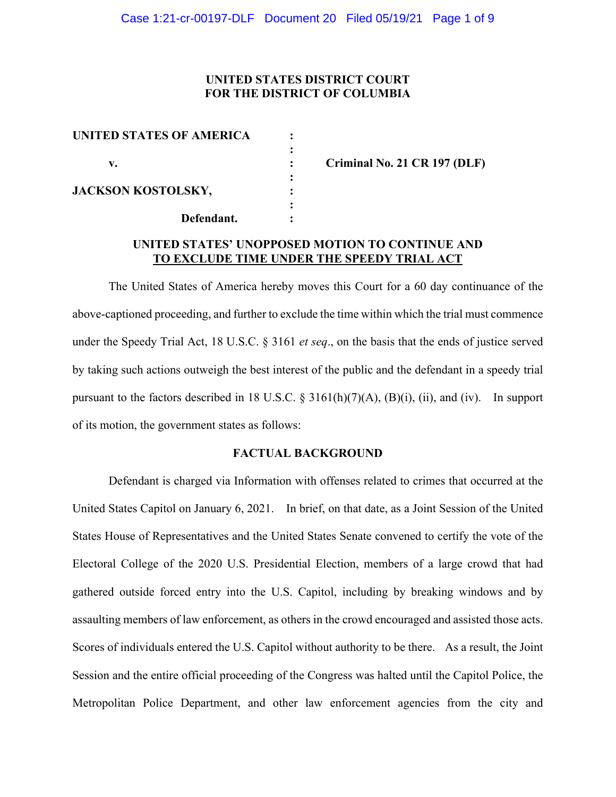## **UNITED STATES DISTRICT COURT FOR THE DISTRICT OF COLUMBIA**

| <b>UNITED STATES OF AMERICA</b> |  |
|---------------------------------|--|
|                                 |  |
| v.                              |  |
| <b>JACKSON KOSTOLSKY,</b>       |  |
|                                 |  |
| Defendant.                      |  |

**v. : Criminal No. 21 CR 197 (DLF)**

# **UNITED STATES' UNOPPOSED MOTION TO CONTINUE AND TO EXCLUDE TIME UNDER THE SPEEDY TRIAL ACT**

The United States of America hereby moves this Court for a 60 day continuance of the above-captioned proceeding, and further to exclude the time within which the trial must commence under the Speedy Trial Act, 18 U.S.C. § 3161 *et seq*., on the basis that the ends of justice served by taking such actions outweigh the best interest of the public and the defendant in a speedy trial pursuant to the factors described in 18 U.S.C. § 3161(h)(7)(A), (B)(i), (ii), and (iv). In support of its motion, the government states as follows:

## **FACTUAL BACKGROUND**

Defendant is charged via Information with offenses related to crimes that occurred at the United States Capitol on January 6, 2021. In brief, on that date, as a Joint Session of the United States House of Representatives and the United States Senate convened to certify the vote of the Electoral College of the 2020 U.S. Presidential Election, members of a large crowd that had gathered outside forced entry into the U.S. Capitol, including by breaking windows and by assaulting members of law enforcement, as others in the crowd encouraged and assisted those acts. Scores of individuals entered the U.S. Capitol without authority to be there. As a result, the Joint Session and the entire official proceeding of the Congress was halted until the Capitol Police, the Metropolitan Police Department, and other law enforcement agencies from the city and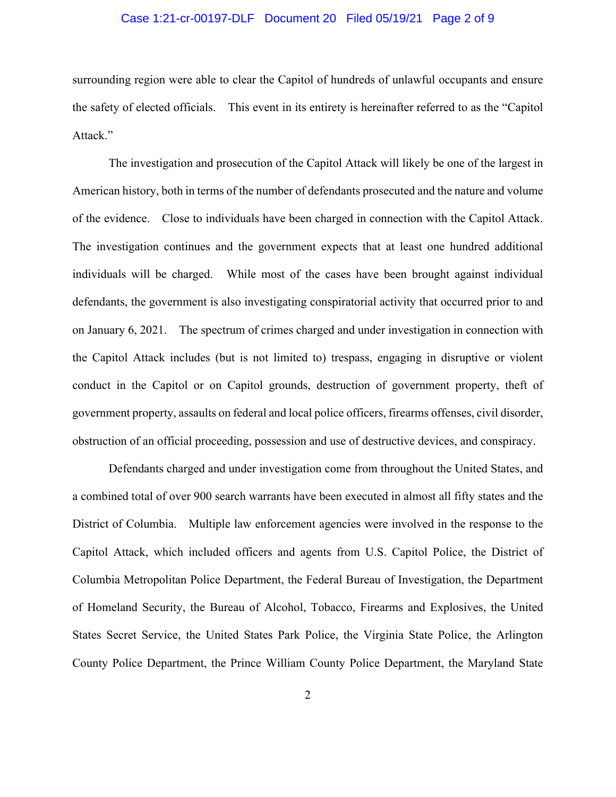## Case 1:21-cr-00197-DLF Document 20 Filed 05/19/21 Page 2 of 9

surrounding region were able to clear the Capitol of hundreds of unlawful occupants and ensure the safety of elected officials. This event in its entirety is hereinafter referred to as the "Capitol Attack."

The investigation and prosecution of the Capitol Attack will likely be one of the largest in American history, both in terms of the number of defendants prosecuted and the nature and volume of the evidence. Close to individuals have been charged in connection with the Capitol Attack. The investigation continues and the government expects that at least one hundred additional individuals will be charged. While most of the cases have been brought against individual defendants, the government is also investigating conspiratorial activity that occurred prior to and on January 6, 2021. The spectrum of crimes charged and under investigation in connection with the Capitol Attack includes (but is not limited to) trespass, engaging in disruptive or violent conduct in the Capitol or on Capitol grounds, destruction of government property, theft of government property, assaults on federal and local police officers, firearms offenses, civil disorder, obstruction of an official proceeding, possession and use of destructive devices, and conspiracy.

Defendants charged and under investigation come from throughout the United States, and a combined total of over 900 search warrants have been executed in almost all fifty states and the District of Columbia. Multiple law enforcement agencies were involved in the response to the Capitol Attack, which included officers and agents from U.S. Capitol Police, the District of Columbia Metropolitan Police Department, the Federal Bureau of Investigation, the Department of Homeland Security, the Bureau of Alcohol, Tobacco, Firearms and Explosives, the United States Secret Service, the United States Park Police, the Virginia State Police, the Arlington County Police Department, the Prince William County Police Department, the Maryland State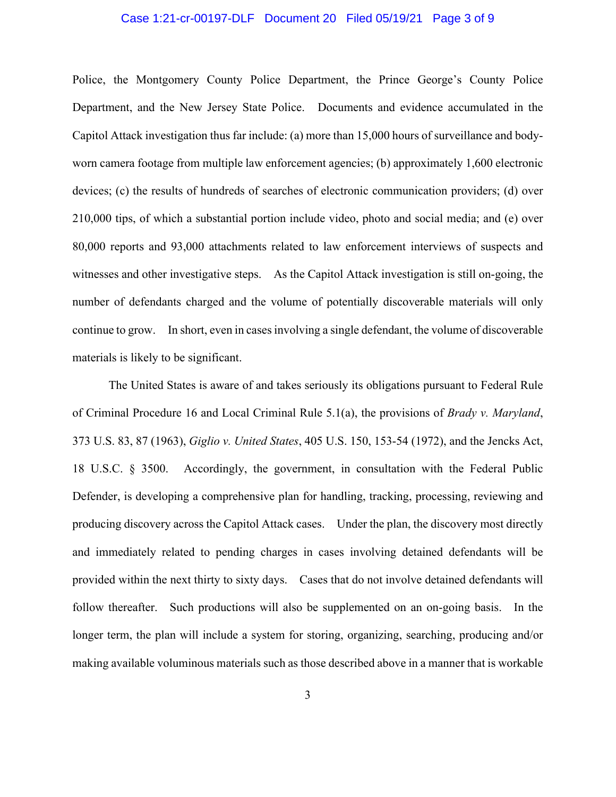#### Case 1:21-cr-00197-DLF Document 20 Filed 05/19/21 Page 3 of 9

Police, the Montgomery County Police Department, the Prince George's County Police Department, and the New Jersey State Police. Documents and evidence accumulated in the Capitol Attack investigation thus far include: (a) more than 15,000 hours of surveillance and bodyworn camera footage from multiple law enforcement agencies; (b) approximately 1,600 electronic devices; (c) the results of hundreds of searches of electronic communication providers; (d) over 210,000 tips, of which a substantial portion include video, photo and social media; and (e) over 80,000 reports and 93,000 attachments related to law enforcement interviews of suspects and witnesses and other investigative steps. As the Capitol Attack investigation is still on-going, the number of defendants charged and the volume of potentially discoverable materials will only continue to grow. In short, even in cases involving a single defendant, the volume of discoverable materials is likely to be significant.

The United States is aware of and takes seriously its obligations pursuant to Federal Rule of Criminal Procedure 16 and Local Criminal Rule 5.1(a), the provisions of *Brady v. Maryland*, 373 U.S. 83, 87 (1963), *Giglio v. United States*, 405 U.S. 150, 153-54 (1972), and the Jencks Act, 18 U.S.C. § 3500. Accordingly, the government, in consultation with the Federal Public Defender, is developing a comprehensive plan for handling, tracking, processing, reviewing and producing discovery across the Capitol Attack cases. Under the plan, the discovery most directly and immediately related to pending charges in cases involving detained defendants will be provided within the next thirty to sixty days. Cases that do not involve detained defendants will follow thereafter. Such productions will also be supplemented on an on-going basis. In the longer term, the plan will include a system for storing, organizing, searching, producing and/or making available voluminous materials such as those described above in a manner that is workable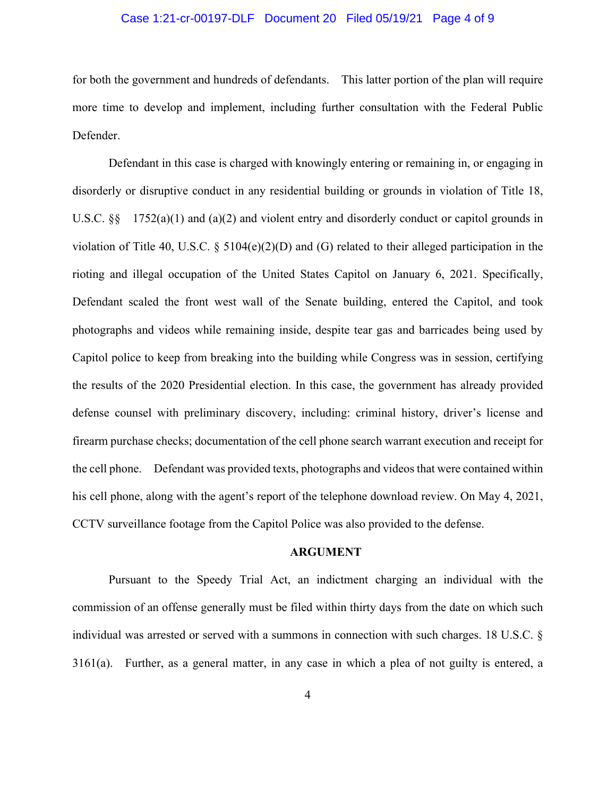## Case 1:21-cr-00197-DLF Document 20 Filed 05/19/21 Page 4 of 9

for both the government and hundreds of defendants. This latter portion of the plan will require more time to develop and implement, including further consultation with the Federal Public Defender.

Defendant in this case is charged with knowingly entering or remaining in, or engaging in disorderly or disruptive conduct in any residential building or grounds in violation of Title 18, U.S.C.  $\S$  1752(a)(1) and (a)(2) and violent entry and disorderly conduct or capitol grounds in violation of Title 40, U.S.C. § 5104(e)(2)(D) and (G) related to their alleged participation in the rioting and illegal occupation of the United States Capitol on January 6, 2021. Specifically, Defendant scaled the front west wall of the Senate building, entered the Capitol, and took photographs and videos while remaining inside, despite tear gas and barricades being used by Capitol police to keep from breaking into the building while Congress was in session, certifying the results of the 2020 Presidential election. In this case, the government has already provided defense counsel with preliminary discovery, including: criminal history, driver's license and firearm purchase checks; documentation of the cell phone search warrant execution and receipt for the cell phone. Defendant was provided texts, photographs and videos that were contained within his cell phone, along with the agent's report of the telephone download review. On May 4, 2021, CCTV surveillance footage from the Capitol Police was also provided to the defense.

#### **ARGUMENT**

Pursuant to the Speedy Trial Act, an indictment charging an individual with the commission of an offense generally must be filed within thirty days from the date on which such individual was arrested or served with a summons in connection with such charges. 18 U.S.C. § 3161(a). Further, as a general matter, in any case in which a plea of not guilty is entered, a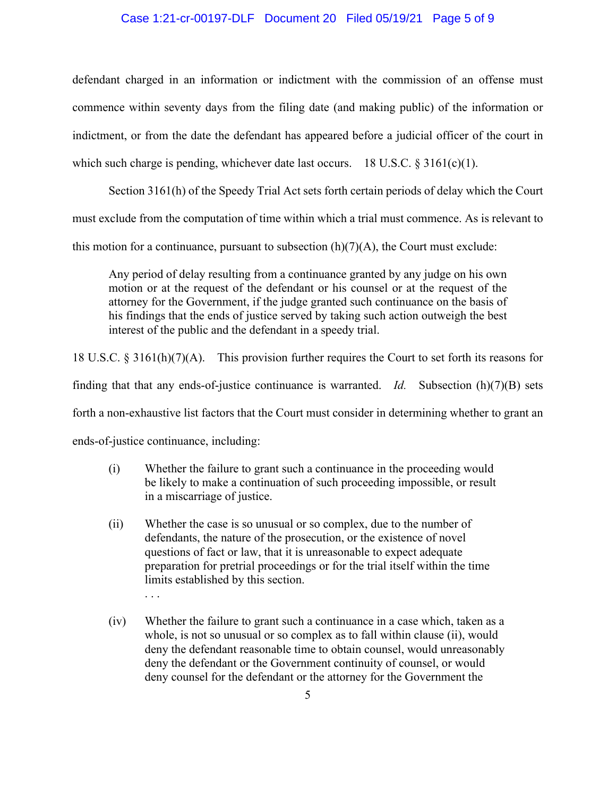## Case 1:21-cr-00197-DLF Document 20 Filed 05/19/21 Page 5 of 9

defendant charged in an information or indictment with the commission of an offense must commence within seventy days from the filing date (and making public) of the information or indictment, or from the date the defendant has appeared before a judicial officer of the court in which such charge is pending, whichever date last occurs. 18 U.S.C.  $\S 3161(c)(1)$ .

Section 3161(h) of the Speedy Trial Act sets forth certain periods of delay which the Court must exclude from the computation of time within which a trial must commence. As is relevant to this motion for a continuance, pursuant to subsection  $(h)(7)(A)$ , the Court must exclude:

Any period of delay resulting from a continuance granted by any judge on his own motion or at the request of the defendant or his counsel or at the request of the attorney for the Government, if the judge granted such continuance on the basis of his findings that the ends of justice served by taking such action outweigh the best interest of the public and the defendant in a speedy trial.

18 U.S.C. § 3161(h)(7)(A). This provision further requires the Court to set forth its reasons for finding that that any ends-of-justice continuance is warranted. *Id.* Subsection (h)(7)(B) sets

forth a non-exhaustive list factors that the Court must consider in determining whether to grant an

ends-of-justice continuance, including:

. . .

- (i) Whether the failure to grant such a continuance in the proceeding would be likely to make a continuation of such proceeding impossible, or result in a miscarriage of justice.
- (ii) Whether the case is so unusual or so complex, due to the number of defendants, the nature of the prosecution, or the existence of novel questions of fact or law, that it is unreasonable to expect adequate preparation for pretrial proceedings or for the trial itself within the time limits established by this section.
- (iv) Whether the failure to grant such a continuance in a case which, taken as a whole, is not so unusual or so complex as to fall within clause (ii), would deny the defendant reasonable time to obtain counsel, would unreasonably deny the defendant or the Government continuity of counsel, or would deny counsel for the defendant or the attorney for the Government the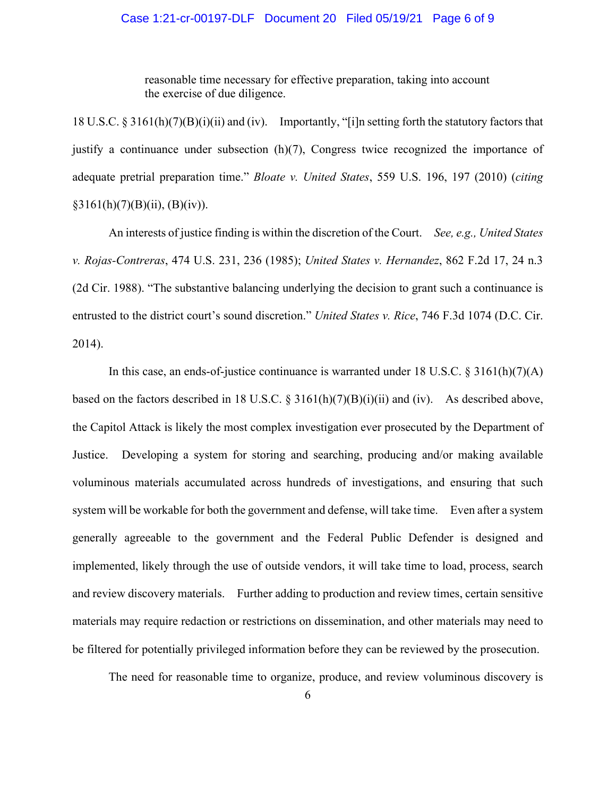## Case 1:21-cr-00197-DLF Document 20 Filed 05/19/21 Page 6 of 9

reasonable time necessary for effective preparation, taking into account the exercise of due diligence.

18 U.S.C. § 3161(h)(7)(B)(i)(ii) and (iv). Importantly, "[i]n setting forth the statutory factors that justify a continuance under subsection (h)(7), Congress twice recognized the importance of adequate pretrial preparation time." *Bloate v. United States*, 559 U.S. 196, 197 (2010) (*citing*  $§3161(h)(7)(B)(ii), (B)(iv)).$ 

An interests of justice finding is within the discretion of the Court. *See, e.g., United States v. Rojas-Contreras*, 474 U.S. 231, 236 (1985); *United States v. Hernandez*, 862 F.2d 17, 24 n.3 (2d Cir. 1988). "The substantive balancing underlying the decision to grant such a continuance is entrusted to the district court's sound discretion." *United States v. Rice*, 746 F.3d 1074 (D.C. Cir. 2014).

In this case, an ends-of-justice continuance is warranted under 18 U.S.C. § 3161(h)(7)(A) based on the factors described in 18 U.S.C. § 3161(h)(7)(B)(i)(ii) and (iv). As described above, the Capitol Attack is likely the most complex investigation ever prosecuted by the Department of Justice. Developing a system for storing and searching, producing and/or making available voluminous materials accumulated across hundreds of investigations, and ensuring that such system will be workable for both the government and defense, will take time. Even after a system generally agreeable to the government and the Federal Public Defender is designed and implemented, likely through the use of outside vendors, it will take time to load, process, search and review discovery materials. Further adding to production and review times, certain sensitive materials may require redaction or restrictions on dissemination, and other materials may need to be filtered for potentially privileged information before they can be reviewed by the prosecution.

The need for reasonable time to organize, produce, and review voluminous discovery is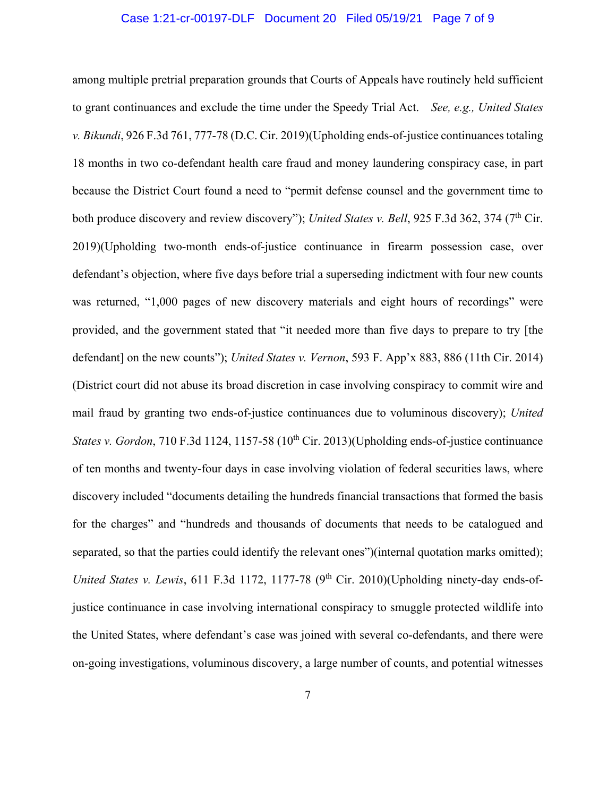#### Case 1:21-cr-00197-DLF Document 20 Filed 05/19/21 Page 7 of 9

among multiple pretrial preparation grounds that Courts of Appeals have routinely held sufficient to grant continuances and exclude the time under the Speedy Trial Act. *See, e.g., United States v. Bikundi*, 926 F.3d 761, 777-78 (D.C. Cir. 2019)(Upholding ends-of-justice continuances totaling 18 months in two co-defendant health care fraud and money laundering conspiracy case, in part because the District Court found a need to "permit defense counsel and the government time to both produce discovery and review discovery"); *United States v. Bell*, 925 F.3d 362, 374 (7<sup>th</sup> Cir. 2019)(Upholding two-month ends-of-justice continuance in firearm possession case, over defendant's objection, where five days before trial a superseding indictment with four new counts was returned, "1,000 pages of new discovery materials and eight hours of recordings" were provided, and the government stated that "it needed more than five days to prepare to try [the defendant] on the new counts"); *United States v. Vernon*, 593 F. App'x 883, 886 (11th Cir. 2014) (District court did not abuse its broad discretion in case involving conspiracy to commit wire and mail fraud by granting two ends-of-justice continuances due to voluminous discovery); *United States v. Gordon*, 710 F.3d 1124, 1157-58 (10<sup>th</sup> Cir. 2013)(Upholding ends-of-justice continuance of ten months and twenty-four days in case involving violation of federal securities laws, where discovery included "documents detailing the hundreds financial transactions that formed the basis for the charges" and "hundreds and thousands of documents that needs to be catalogued and separated, so that the parties could identify the relevant ones")(internal quotation marks omitted); *United States v. Lewis*, 611 F.3d 1172, 1177-78 (9<sup>th</sup> Cir. 2010)(Upholding ninety-day ends-ofjustice continuance in case involving international conspiracy to smuggle protected wildlife into the United States, where defendant's case was joined with several co-defendants, and there were on-going investigations, voluminous discovery, a large number of counts, and potential witnesses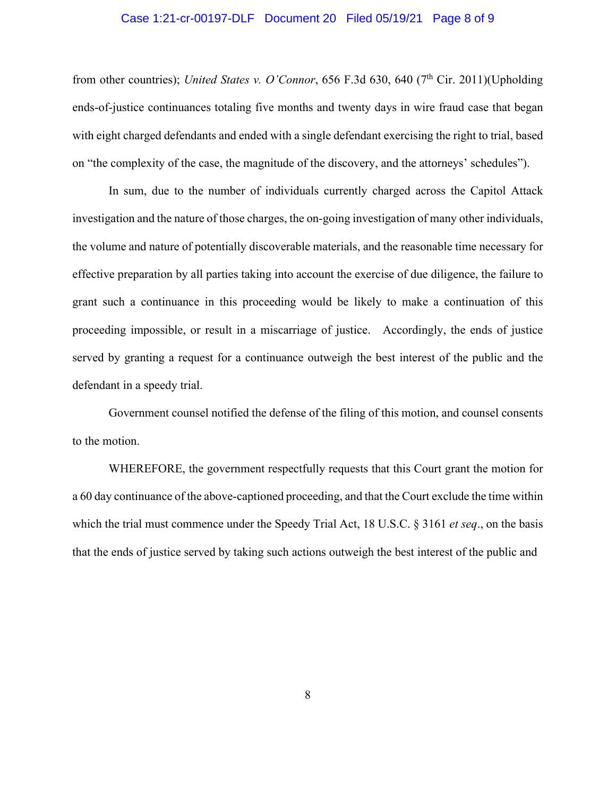#### Case 1:21-cr-00197-DLF Document 20 Filed 05/19/21 Page 8 of 9

from other countries); *United States v. O'Connor*, 656 F.3d 630, 640 (7<sup>th</sup> Cir. 2011)(Upholding ends-of-justice continuances totaling five months and twenty days in wire fraud case that began with eight charged defendants and ended with a single defendant exercising the right to trial, based on "the complexity of the case, the magnitude of the discovery, and the attorneys' schedules").

In sum, due to the number of individuals currently charged across the Capitol Attack investigation and the nature of those charges, the on-going investigation of many other individuals, the volume and nature of potentially discoverable materials, and the reasonable time necessary for effective preparation by all parties taking into account the exercise of due diligence, the failure to grant such a continuance in this proceeding would be likely to make a continuation of this proceeding impossible, or result in a miscarriage of justice. Accordingly, the ends of justice served by granting a request for a continuance outweigh the best interest of the public and the defendant in a speedy trial.

Government counsel notified the defense of the filing of this motion, and counsel consents to the motion.

WHEREFORE, the government respectfully requests that this Court grant the motion for a 60 day continuance of the above-captioned proceeding, and that the Court exclude the time within which the trial must commence under the Speedy Trial Act, 18 U.S.C. § 3161 *et seq*., on the basis that the ends of justice served by taking such actions outweigh the best interest of the public and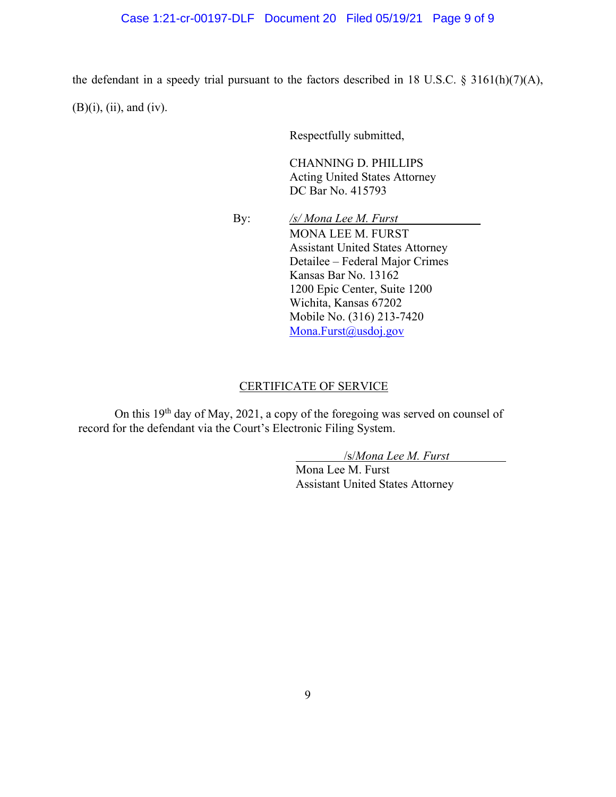#### Case 1:21-cr-00197-DLF Document 20 Filed 05/19/21 Page 9 of 9

the defendant in a speedy trial pursuant to the factors described in 18 U.S.C. § 3161(h)(7)(A),  $(B)(i)$ ,  $(ii)$ , and  $(iv)$ .

Respectfully submitted,

CHANNING D. PHILLIPS Acting United States Attorney DC Bar No. 415793

 By: */s/ Mona Lee M. Furst*  MONA LEE M. FURST Assistant United States Attorney Detailee – Federal Major Crimes Kansas Bar No. 13162 1200 Epic Center, Suite 1200 Wichita, Kansas 67202 Mobile No. (316) 213-7420 Mona.Furst@usdoj.gov

#### CERTIFICATE OF SERVICE

On this 19th day of May, 2021, a copy of the foregoing was served on counsel of record for the defendant via the Court's Electronic Filing System.

/s/*Mona Lee M. Furst*

Mona Lee M. Furst Assistant United States Attorney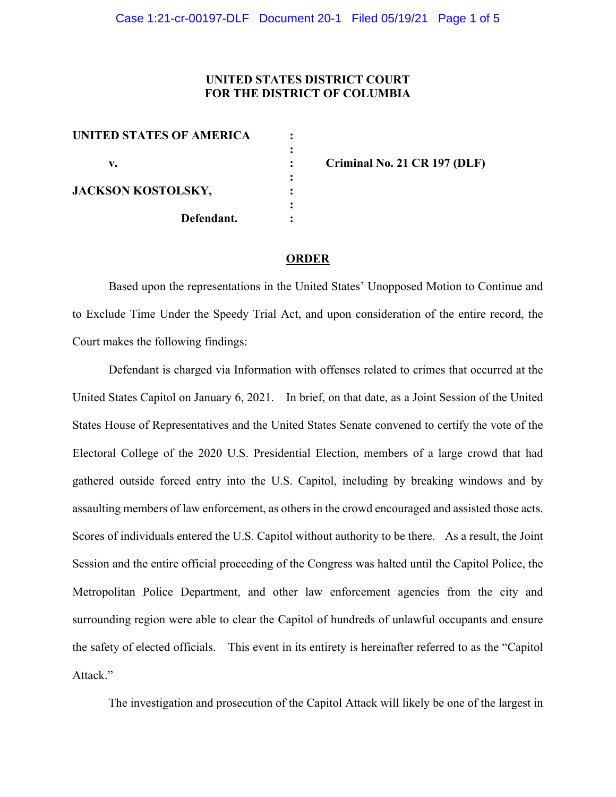## **UNITED STATES DISTRICT COURT FOR THE DISTRICT OF COLUMBIA**

| <b>UNITED STATES OF AMERICA</b> |  |
|---------------------------------|--|
| v.                              |  |
| JACKSON KOSTOLSKY,              |  |
| Defendant.                      |  |

**v. : Criminal No. 21 CR 197 (DLF)**

#### **ORDER**

Based upon the representations in the United States' Unopposed Motion to Continue and to Exclude Time Under the Speedy Trial Act, and upon consideration of the entire record, the Court makes the following findings:

Defendant is charged via Information with offenses related to crimes that occurred at the United States Capitol on January 6, 2021. In brief, on that date, as a Joint Session of the United States House of Representatives and the United States Senate convened to certify the vote of the Electoral College of the 2020 U.S. Presidential Election, members of a large crowd that had gathered outside forced entry into the U.S. Capitol, including by breaking windows and by assaulting members of law enforcement, as others in the crowd encouraged and assisted those acts. Scores of individuals entered the U.S. Capitol without authority to be there. As a result, the Joint Session and the entire official proceeding of the Congress was halted until the Capitol Police, the Metropolitan Police Department, and other law enforcement agencies from the city and surrounding region were able to clear the Capitol of hundreds of unlawful occupants and ensure the safety of elected officials. This event in its entirety is hereinafter referred to as the "Capitol Attack."

The investigation and prosecution of the Capitol Attack will likely be one of the largest in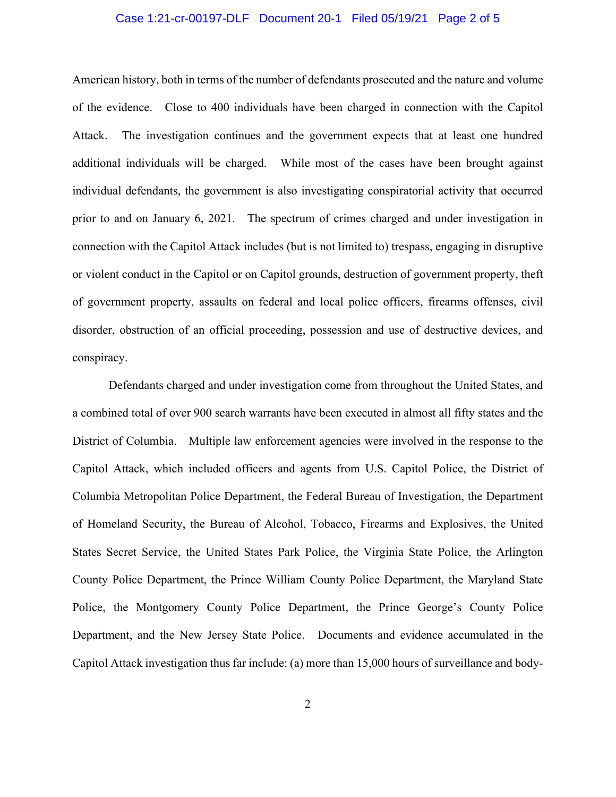## Case 1:21-cr-00197-DLF Document 20-1 Filed 05/19/21 Page 2 of 5

American history, both in terms of the number of defendants prosecuted and the nature and volume of the evidence. Close to 400 individuals have been charged in connection with the Capitol Attack. The investigation continues and the government expects that at least one hundred additional individuals will be charged. While most of the cases have been brought against individual defendants, the government is also investigating conspiratorial activity that occurred prior to and on January 6, 2021. The spectrum of crimes charged and under investigation in connection with the Capitol Attack includes (but is not limited to) trespass, engaging in disruptive or violent conduct in the Capitol or on Capitol grounds, destruction of government property, theft of government property, assaults on federal and local police officers, firearms offenses, civil disorder, obstruction of an official proceeding, possession and use of destructive devices, and conspiracy.

Defendants charged and under investigation come from throughout the United States, and a combined total of over 900 search warrants have been executed in almost all fifty states and the District of Columbia. Multiple law enforcement agencies were involved in the response to the Capitol Attack, which included officers and agents from U.S. Capitol Police, the District of Columbia Metropolitan Police Department, the Federal Bureau of Investigation, the Department of Homeland Security, the Bureau of Alcohol, Tobacco, Firearms and Explosives, the United States Secret Service, the United States Park Police, the Virginia State Police, the Arlington County Police Department, the Prince William County Police Department, the Maryland State Police, the Montgomery County Police Department, the Prince George's County Police Department, and the New Jersey State Police. Documents and evidence accumulated in the Capitol Attack investigation thus far include: (a) more than 15,000 hours of surveillance and body-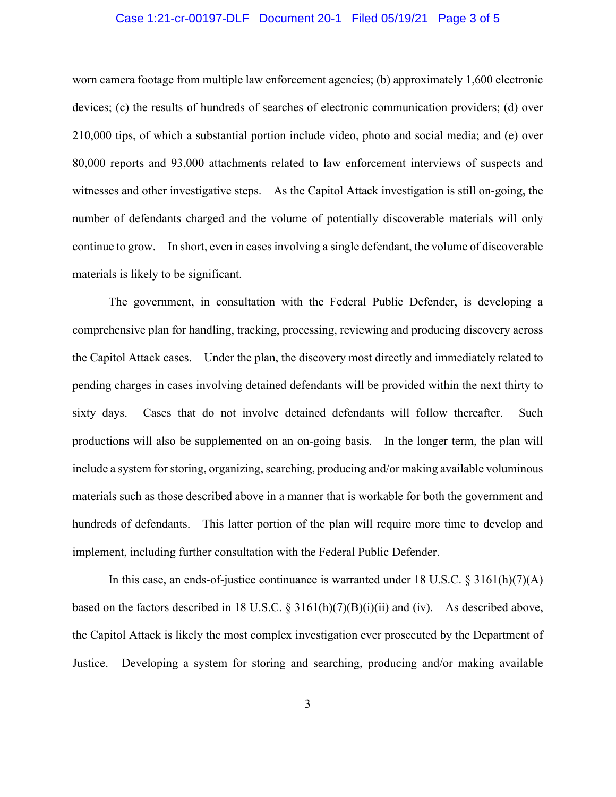## Case 1:21-cr-00197-DLF Document 20-1 Filed 05/19/21 Page 3 of 5

worn camera footage from multiple law enforcement agencies; (b) approximately 1,600 electronic devices; (c) the results of hundreds of searches of electronic communication providers; (d) over 210,000 tips, of which a substantial portion include video, photo and social media; and (e) over 80,000 reports and 93,000 attachments related to law enforcement interviews of suspects and witnesses and other investigative steps. As the Capitol Attack investigation is still on-going, the number of defendants charged and the volume of potentially discoverable materials will only continue to grow. In short, even in cases involving a single defendant, the volume of discoverable materials is likely to be significant.

The government, in consultation with the Federal Public Defender, is developing a comprehensive plan for handling, tracking, processing, reviewing and producing discovery across the Capitol Attack cases. Under the plan, the discovery most directly and immediately related to pending charges in cases involving detained defendants will be provided within the next thirty to sixty days. Cases that do not involve detained defendants will follow thereafter. Such productions will also be supplemented on an on-going basis. In the longer term, the plan will include a system for storing, organizing, searching, producing and/or making available voluminous materials such as those described above in a manner that is workable for both the government and hundreds of defendants. This latter portion of the plan will require more time to develop and implement, including further consultation with the Federal Public Defender.

In this case, an ends-of-justice continuance is warranted under 18 U.S.C. § 3161(h)(7)(A) based on the factors described in 18 U.S.C. § 3161(h)(7)(B)(i)(ii) and (iv). As described above, the Capitol Attack is likely the most complex investigation ever prosecuted by the Department of Justice. Developing a system for storing and searching, producing and/or making available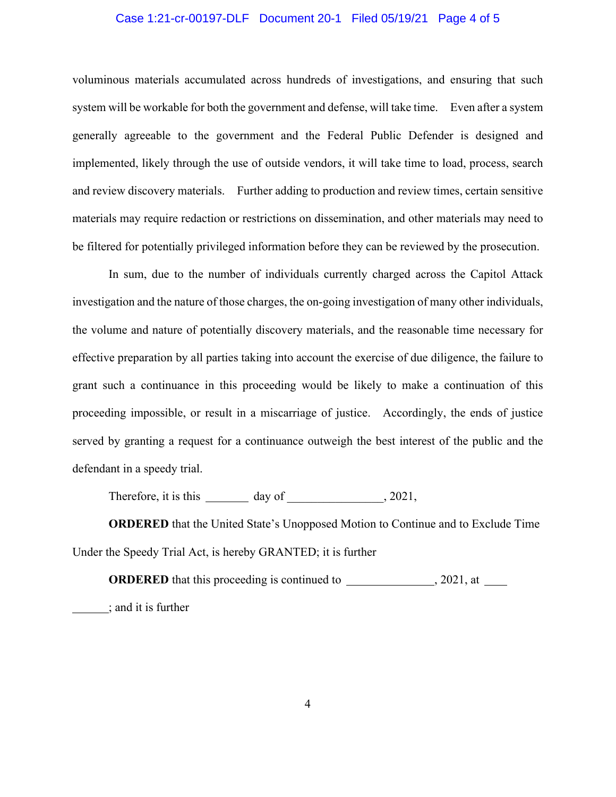## Case 1:21-cr-00197-DLF Document 20-1 Filed 05/19/21 Page 4 of 5

voluminous materials accumulated across hundreds of investigations, and ensuring that such system will be workable for both the government and defense, will take time. Even after a system generally agreeable to the government and the Federal Public Defender is designed and implemented, likely through the use of outside vendors, it will take time to load, process, search and review discovery materials. Further adding to production and review times, certain sensitive materials may require redaction or restrictions on dissemination, and other materials may need to be filtered for potentially privileged information before they can be reviewed by the prosecution.

In sum, due to the number of individuals currently charged across the Capitol Attack investigation and the nature of those charges, the on-going investigation of many other individuals, the volume and nature of potentially discovery materials, and the reasonable time necessary for effective preparation by all parties taking into account the exercise of due diligence, the failure to grant such a continuance in this proceeding would be likely to make a continuation of this proceeding impossible, or result in a miscarriage of justice. Accordingly, the ends of justice served by granting a request for a continuance outweigh the best interest of the public and the defendant in a speedy trial.

Therefore, it is this \_\_\_\_\_\_\_\_\_\_\_\_ day of \_\_\_\_\_\_\_\_\_\_\_\_\_\_, 2021,

**ORDERED** that the United State's Unopposed Motion to Continue and to Exclude Time Under the Speedy Trial Act, is hereby GRANTED; it is further

**ORDERED** that this proceeding is continued to , 2021, at ; and it is further